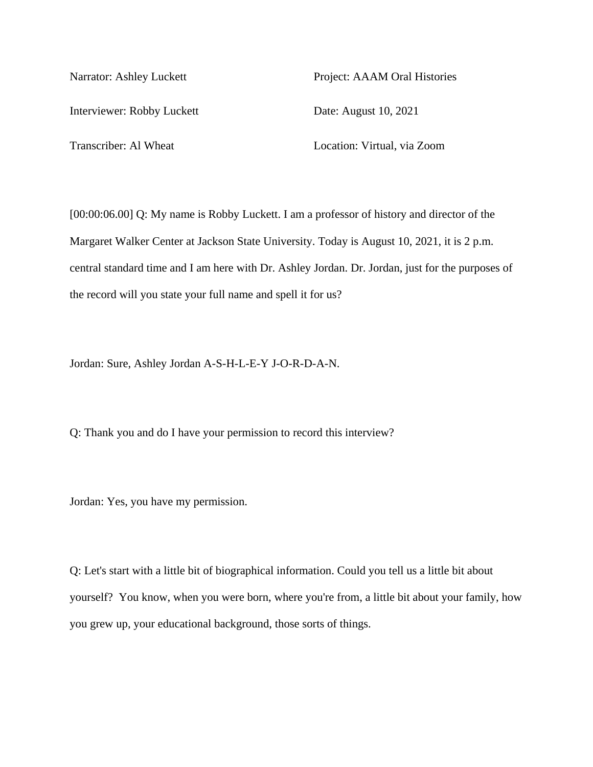Interviewer: Robby Luckett Date: August 10, 2021

Narrator: Ashley Luckett Project: AAAM Oral Histories

Transcriber: Al Wheat Location: Virtual, via Zoom

[00:00:06.00] Q: My name is Robby Luckett. I am a professor of history and director of the Margaret Walker Center at Jackson State University. Today is August 10, 2021, it is 2 p.m. central standard time and I am here with Dr. Ashley Jordan. Dr. Jordan, just for the purposes of the record will you state your full name and spell it for us?

Jordan: Sure, Ashley Jordan A-S-H-L-E-Y J-O-R-D-A-N.

Q: Thank you and do I have your permission to record this interview?

Jordan: Yes, you have my permission.

Q: Let's start with a little bit of biographical information. Could you tell us a little bit about yourself? You know, when you were born, where you're from, a little bit about your family, how you grew up, your educational background, those sorts of things.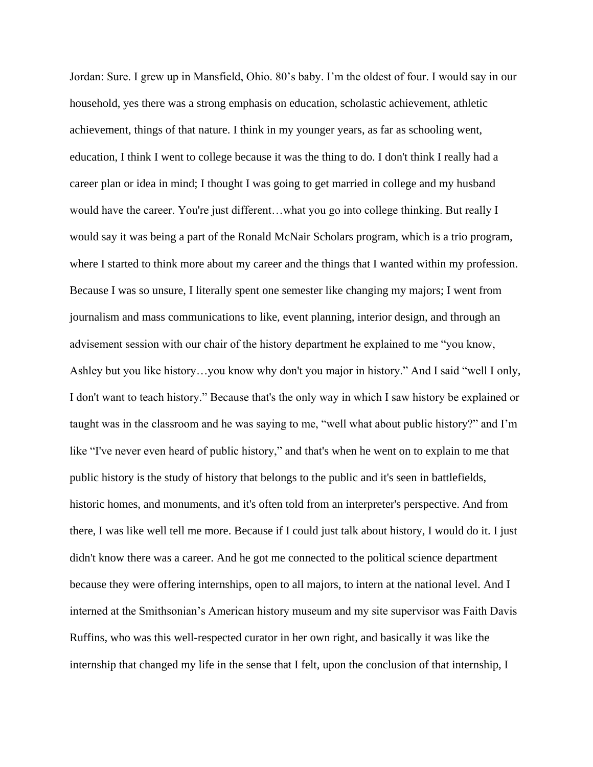Jordan: Sure. I grew up in Mansfield, Ohio. 80's baby. I'm the oldest of four. I would say in our household, yes there was a strong emphasis on education, scholastic achievement, athletic achievement, things of that nature. I think in my younger years, as far as schooling went, education, I think I went to college because it was the thing to do. I don't think I really had a career plan or idea in mind; I thought I was going to get married in college and my husband would have the career. You're just different...what you go into college thinking. But really I would say it was being a part of the Ronald McNair Scholars program, which is a trio program, where I started to think more about my career and the things that I wanted within my profession. Because I was so unsure, I literally spent one semester like changing my majors; I went from journalism and mass communications to like, event planning, interior design, and through an advisement session with our chair of the history department he explained to me "you know, Ashley but you like history…you know why don't you major in history." And I said "well I only, I don't want to teach history." Because that's the only way in which I saw history be explained or taught was in the classroom and he was saying to me, "well what about public history?" and I'm like "I've never even heard of public history," and that's when he went on to explain to me that public history is the study of history that belongs to the public and it's seen in battlefields, historic homes, and monuments, and it's often told from an interpreter's perspective. And from there, I was like well tell me more. Because if I could just talk about history, I would do it. I just didn't know there was a career. And he got me connected to the political science department because they were offering internships, open to all majors, to intern at the national level. And I interned at the Smithsonian's American history museum and my site supervisor was Faith Davis Ruffins, who was this well-respected curator in her own right, and basically it was like the internship that changed my life in the sense that I felt, upon the conclusion of that internship, I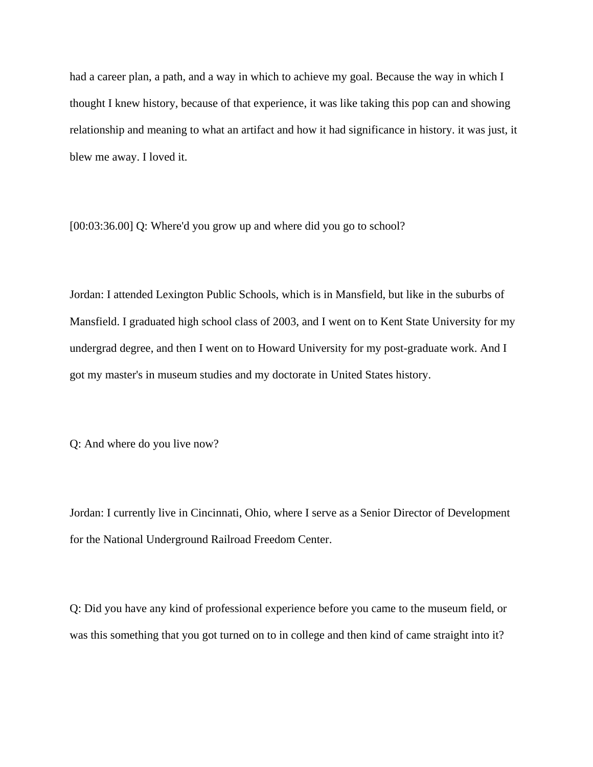had a career plan, a path, and a way in which to achieve my goal. Because the way in which I thought I knew history, because of that experience, it was like taking this pop can and showing relationship and meaning to what an artifact and how it had significance in history. it was just, it blew me away. I loved it.

[00:03:36.00] Q: Where'd you grow up and where did you go to school?

Jordan: I attended Lexington Public Schools, which is in Mansfield, but like in the suburbs of Mansfield. I graduated high school class of 2003, and I went on to Kent State University for my undergrad degree, and then I went on to Howard University for my post-graduate work. And I got my master's in museum studies and my doctorate in United States history.

Q: And where do you live now?

Jordan: I currently live in Cincinnati, Ohio, where I serve as a Senior Director of Development for the National Underground Railroad Freedom Center.

Q: Did you have any kind of professional experience before you came to the museum field, or was this something that you got turned on to in college and then kind of came straight into it?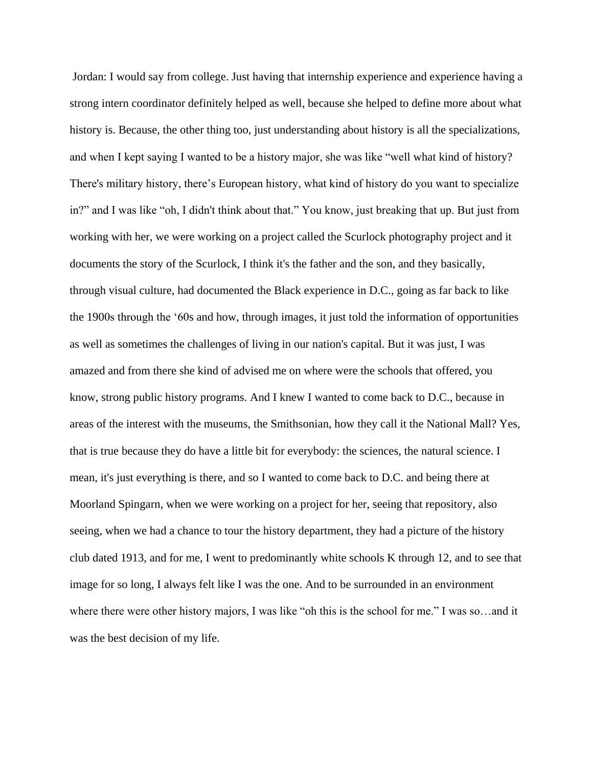Jordan: I would say from college. Just having that internship experience and experience having a strong intern coordinator definitely helped as well, because she helped to define more about what history is. Because, the other thing too, just understanding about history is all the specializations, and when I kept saying I wanted to be a history major, she was like "well what kind of history? There's military history, there's European history, what kind of history do you want to specialize in?" and I was like "oh, I didn't think about that." You know, just breaking that up. But just from working with her, we were working on a project called the Scurlock photography project and it documents the story of the Scurlock, I think it's the father and the son, and they basically, through visual culture, had documented the Black experience in D.C., going as far back to like the 1900s through the '60s and how, through images, it just told the information of opportunities as well as sometimes the challenges of living in our nation's capital. But it was just, I was amazed and from there she kind of advised me on where were the schools that offered, you know, strong public history programs. And I knew I wanted to come back to D.C., because in areas of the interest with the museums, the Smithsonian, how they call it the National Mall? Yes, that is true because they do have a little bit for everybody: the sciences, the natural science. I mean, it's just everything is there, and so I wanted to come back to D.C. and being there at Moorland Spingarn, when we were working on a project for her, seeing that repository, also seeing, when we had a chance to tour the history department, they had a picture of the history club dated 1913, and for me, I went to predominantly white schools K through 12, and to see that image for so long, I always felt like I was the one. And to be surrounded in an environment where there were other history majors, I was like "oh this is the school for me." I was so…and it was the best decision of my life.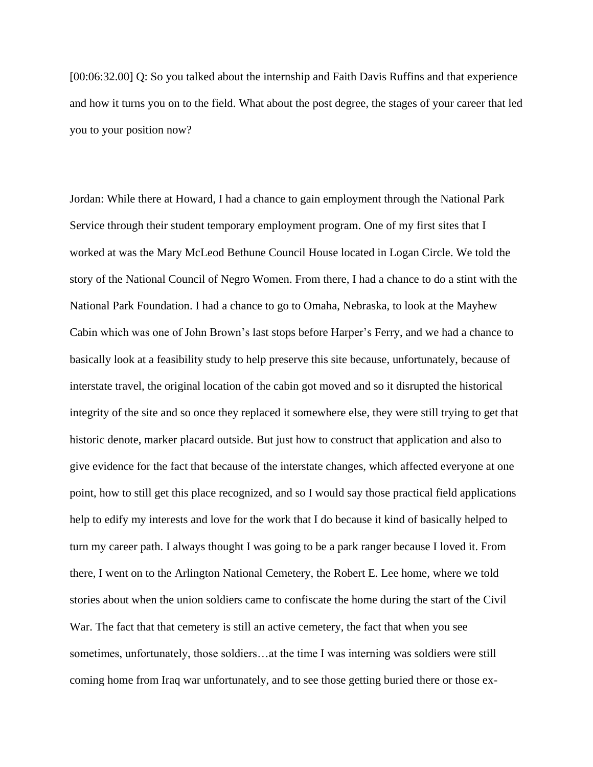[00:06:32.00] Q: So you talked about the internship and Faith Davis Ruffins and that experience and how it turns you on to the field. What about the post degree, the stages of your career that led you to your position now?

Jordan: While there at Howard, I had a chance to gain employment through the National Park Service through their student temporary employment program. One of my first sites that I worked at was the Mary McLeod Bethune Council House located in Logan Circle. We told the story of the National Council of Negro Women. From there, I had a chance to do a stint with the National Park Foundation. I had a chance to go to Omaha, Nebraska, to look at the Mayhew Cabin which was one of John Brown's last stops before Harper's Ferry, and we had a chance to basically look at a feasibility study to help preserve this site because, unfortunately, because of interstate travel, the original location of the cabin got moved and so it disrupted the historical integrity of the site and so once they replaced it somewhere else, they were still trying to get that historic denote, marker placard outside. But just how to construct that application and also to give evidence for the fact that because of the interstate changes, which affected everyone at one point, how to still get this place recognized, and so I would say those practical field applications help to edify my interests and love for the work that I do because it kind of basically helped to turn my career path. I always thought I was going to be a park ranger because I loved it. From there, I went on to the Arlington National Cemetery, the Robert E. Lee home, where we told stories about when the union soldiers came to confiscate the home during the start of the Civil War. The fact that that cemetery is still an active cemetery, the fact that when you see sometimes, unfortunately, those soldiers…at the time I was interning was soldiers were still coming home from Iraq war unfortunately, and to see those getting buried there or those ex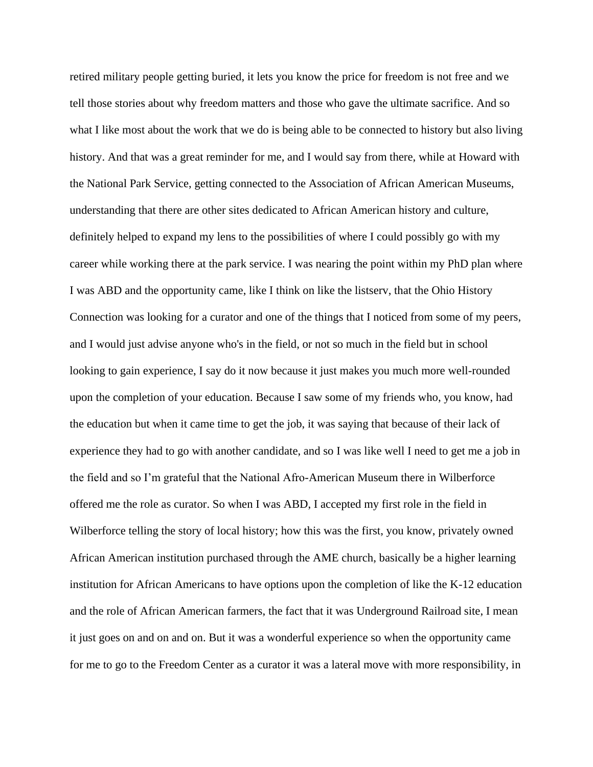retired military people getting buried, it lets you know the price for freedom is not free and we tell those stories about why freedom matters and those who gave the ultimate sacrifice. And so what I like most about the work that we do is being able to be connected to history but also living history. And that was a great reminder for me, and I would say from there, while at Howard with the National Park Service, getting connected to the Association of African American Museums, understanding that there are other sites dedicated to African American history and culture, definitely helped to expand my lens to the possibilities of where I could possibly go with my career while working there at the park service. I was nearing the point within my PhD plan where I was ABD and the opportunity came, like I think on like the listserv, that the Ohio History Connection was looking for a curator and one of the things that I noticed from some of my peers, and I would just advise anyone who's in the field, or not so much in the field but in school looking to gain experience, I say do it now because it just makes you much more well-rounded upon the completion of your education. Because I saw some of my friends who, you know, had the education but when it came time to get the job, it was saying that because of their lack of experience they had to go with another candidate, and so I was like well I need to get me a job in the field and so I'm grateful that the National Afro-American Museum there in Wilberforce offered me the role as curator. So when I was ABD, I accepted my first role in the field in Wilberforce telling the story of local history; how this was the first, you know, privately owned African American institution purchased through the AME church, basically be a higher learning institution for African Americans to have options upon the completion of like the K-12 education and the role of African American farmers, the fact that it was Underground Railroad site, I mean it just goes on and on and on. But it was a wonderful experience so when the opportunity came for me to go to the Freedom Center as a curator it was a lateral move with more responsibility, in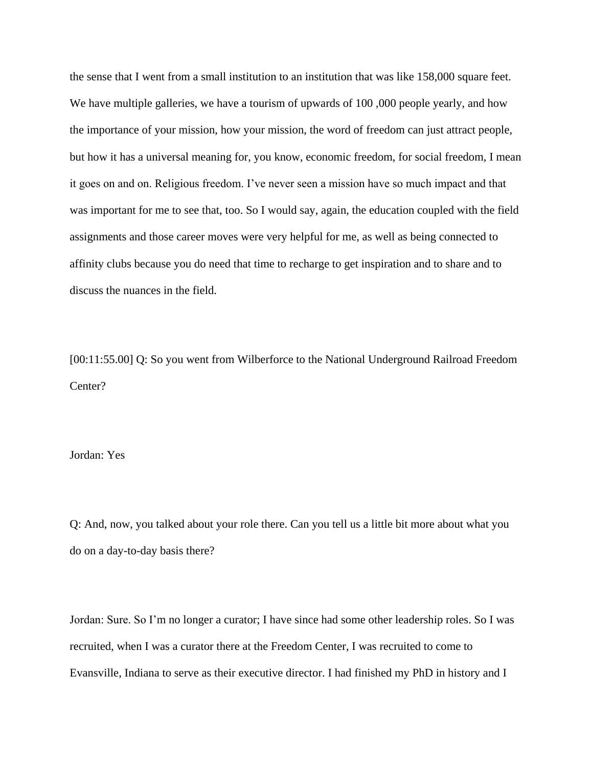the sense that I went from a small institution to an institution that was like 158,000 square feet. We have multiple galleries, we have a tourism of upwards of 100,000 people yearly, and how the importance of your mission, how your mission, the word of freedom can just attract people, but how it has a universal meaning for, you know, economic freedom, for social freedom, I mean it goes on and on. Religious freedom. I've never seen a mission have so much impact and that was important for me to see that, too. So I would say, again, the education coupled with the field assignments and those career moves were very helpful for me, as well as being connected to affinity clubs because you do need that time to recharge to get inspiration and to share and to discuss the nuances in the field.

[00:11:55.00] Q: So you went from Wilberforce to the National Underground Railroad Freedom Center?

Jordan: Yes

Q: And, now, you talked about your role there. Can you tell us a little bit more about what you do on a day-to-day basis there?

Jordan: Sure. So I'm no longer a curator; I have since had some other leadership roles. So I was recruited, when I was a curator there at the Freedom Center, I was recruited to come to Evansville, Indiana to serve as their executive director. I had finished my PhD in history and I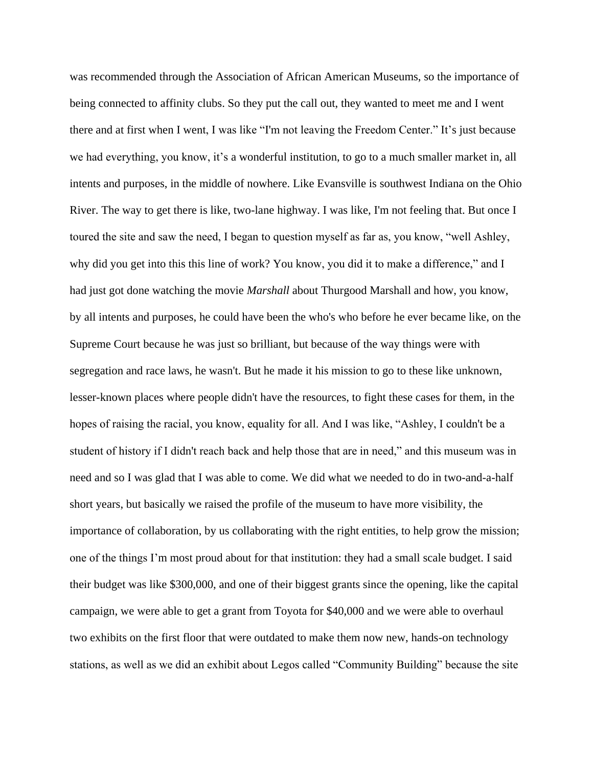was recommended through the Association of African American Museums, so the importance of being connected to affinity clubs. So they put the call out, they wanted to meet me and I went there and at first when I went, I was like "I'm not leaving the Freedom Center." It's just because we had everything, you know, it's a wonderful institution, to go to a much smaller market in, all intents and purposes, in the middle of nowhere. Like Evansville is southwest Indiana on the Ohio River. The way to get there is like, two-lane highway. I was like, I'm not feeling that. But once I toured the site and saw the need, I began to question myself as far as, you know, "well Ashley, why did you get into this this line of work? You know, you did it to make a difference," and I had just got done watching the movie *Marshall* about Thurgood Marshall and how, you know, by all intents and purposes, he could have been the who's who before he ever became like, on the Supreme Court because he was just so brilliant, but because of the way things were with segregation and race laws, he wasn't. But he made it his mission to go to these like unknown, lesser-known places where people didn't have the resources, to fight these cases for them, in the hopes of raising the racial, you know, equality for all. And I was like, "Ashley, I couldn't be a student of history if I didn't reach back and help those that are in need," and this museum was in need and so I was glad that I was able to come. We did what we needed to do in two-and-a-half short years, but basically we raised the profile of the museum to have more visibility, the importance of collaboration, by us collaborating with the right entities, to help grow the mission; one of the things I'm most proud about for that institution: they had a small scale budget. I said their budget was like \$300,000, and one of their biggest grants since the opening, like the capital campaign, we were able to get a grant from Toyota for \$40,000 and we were able to overhaul two exhibits on the first floor that were outdated to make them now new, hands-on technology stations, as well as we did an exhibit about Legos called "Community Building" because the site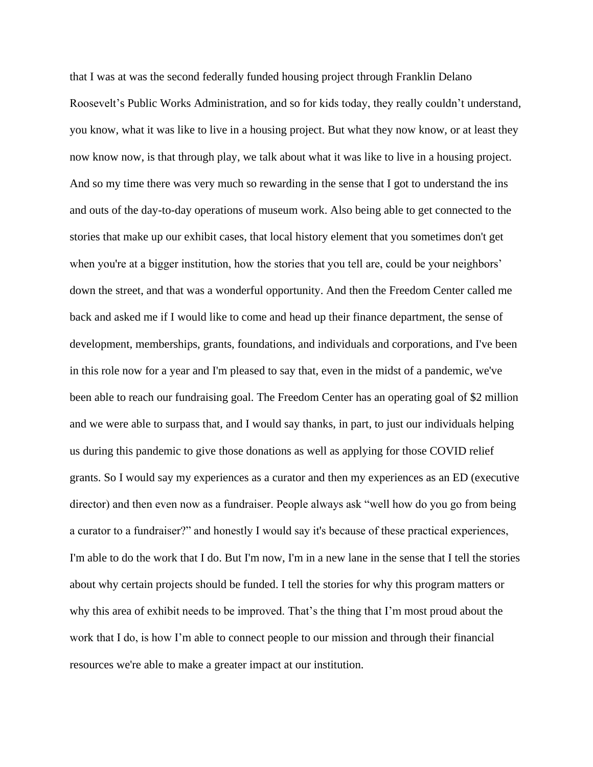that I was at was the second federally funded housing project through Franklin Delano Roosevelt's Public Works Administration, and so for kids today, they really couldn't understand, you know, what it was like to live in a housing project. But what they now know, or at least they now know now, is that through play, we talk about what it was like to live in a housing project. And so my time there was very much so rewarding in the sense that I got to understand the ins and outs of the day-to-day operations of museum work. Also being able to get connected to the stories that make up our exhibit cases, that local history element that you sometimes don't get when you're at a bigger institution, how the stories that you tell are, could be your neighbors' down the street, and that was a wonderful opportunity. And then the Freedom Center called me back and asked me if I would like to come and head up their finance department, the sense of development, memberships, grants, foundations, and individuals and corporations, and I've been in this role now for a year and I'm pleased to say that, even in the midst of a pandemic, we've been able to reach our fundraising goal. The Freedom Center has an operating goal of \$2 million and we were able to surpass that, and I would say thanks, in part, to just our individuals helping us during this pandemic to give those donations as well as applying for those COVID relief grants. So I would say my experiences as a curator and then my experiences as an ED (executive director) and then even now as a fundraiser. People always ask "well how do you go from being a curator to a fundraiser?" and honestly I would say it's because of these practical experiences, I'm able to do the work that I do. But I'm now, I'm in a new lane in the sense that I tell the stories about why certain projects should be funded. I tell the stories for why this program matters or why this area of exhibit needs to be improved. That's the thing that I'm most proud about the work that I do, is how I'm able to connect people to our mission and through their financial resources we're able to make a greater impact at our institution.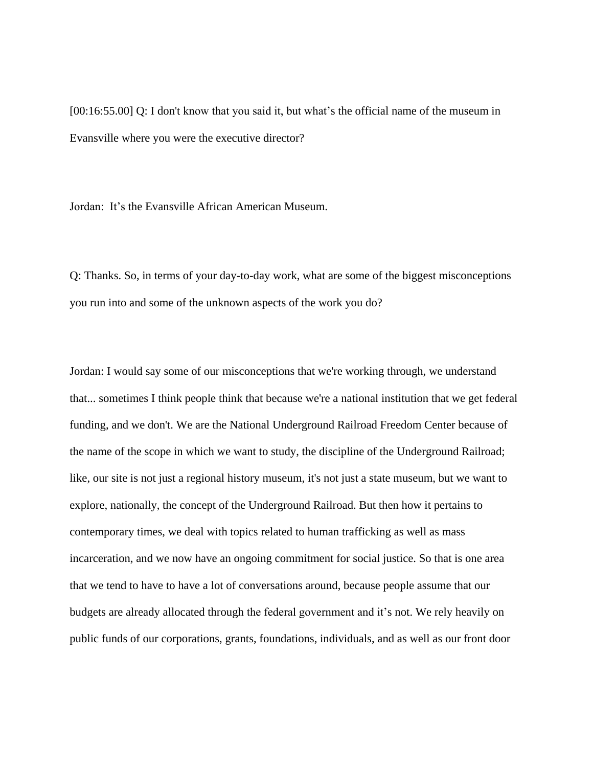[00:16:55.00] Q: I don't know that you said it, but what's the official name of the museum in Evansville where you were the executive director?

Jordan: It's the Evansville African American Museum.

Q: Thanks. So, in terms of your day-to-day work, what are some of the biggest misconceptions you run into and some of the unknown aspects of the work you do?

Jordan: I would say some of our misconceptions that we're working through, we understand that... sometimes I think people think that because we're a national institution that we get federal funding, and we don't. We are the National Underground Railroad Freedom Center because of the name of the scope in which we want to study, the discipline of the Underground Railroad; like, our site is not just a regional history museum, it's not just a state museum, but we want to explore, nationally, the concept of the Underground Railroad. But then how it pertains to contemporary times, we deal with topics related to human trafficking as well as mass incarceration, and we now have an ongoing commitment for social justice. So that is one area that we tend to have to have a lot of conversations around, because people assume that our budgets are already allocated through the federal government and it's not. We rely heavily on public funds of our corporations, grants, foundations, individuals, and as well as our front door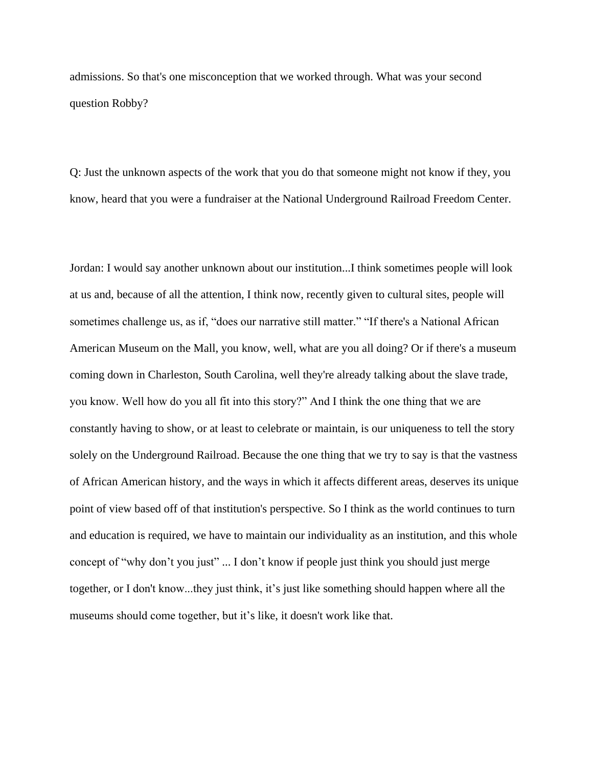admissions. So that's one misconception that we worked through. What was your second question Robby?

Q: Just the unknown aspects of the work that you do that someone might not know if they, you know, heard that you were a fundraiser at the National Underground Railroad Freedom Center.

Jordan: I would say another unknown about our institution...I think sometimes people will look at us and, because of all the attention, I think now, recently given to cultural sites, people will sometimes challenge us, as if, "does our narrative still matter." "If there's a National African American Museum on the Mall, you know, well, what are you all doing? Or if there's a museum coming down in Charleston, South Carolina, well they're already talking about the slave trade, you know. Well how do you all fit into this story?" And I think the one thing that we are constantly having to show, or at least to celebrate or maintain, is our uniqueness to tell the story solely on the Underground Railroad. Because the one thing that we try to say is that the vastness of African American history, and the ways in which it affects different areas, deserves its unique point of view based off of that institution's perspective. So I think as the world continues to turn and education is required, we have to maintain our individuality as an institution, and this whole concept of "why don't you just" ... I don't know if people just think you should just merge together, or I don't know...they just think, it's just like something should happen where all the museums should come together, but it's like, it doesn't work like that.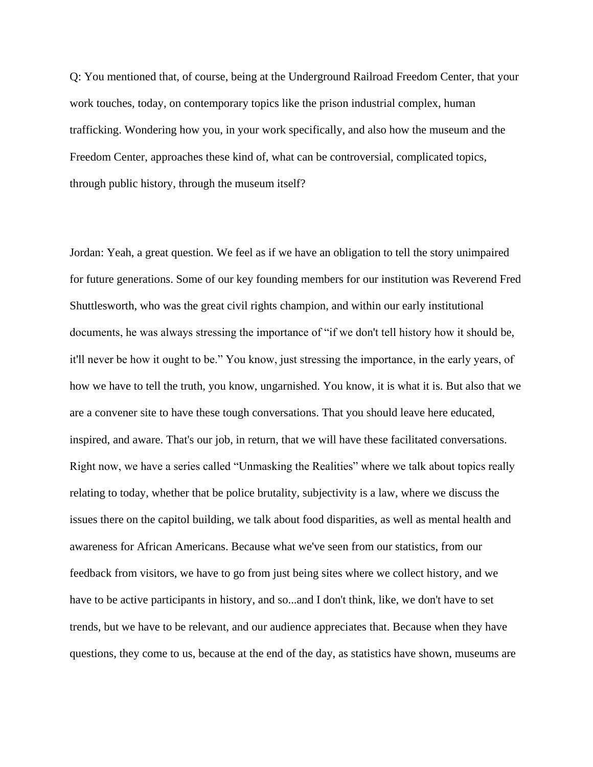Q: You mentioned that, of course, being at the Underground Railroad Freedom Center, that your work touches, today, on contemporary topics like the prison industrial complex, human trafficking. Wondering how you, in your work specifically, and also how the museum and the Freedom Center, approaches these kind of, what can be controversial, complicated topics, through public history, through the museum itself?

Jordan: Yeah, a great question. We feel as if we have an obligation to tell the story unimpaired for future generations. Some of our key founding members for our institution was Reverend Fred Shuttlesworth, who was the great civil rights champion, and within our early institutional documents, he was always stressing the importance of "if we don't tell history how it should be, it'll never be how it ought to be." You know, just stressing the importance, in the early years, of how we have to tell the truth, you know, ungarnished. You know, it is what it is. But also that we are a convener site to have these tough conversations. That you should leave here educated, inspired, and aware. That's our job, in return, that we will have these facilitated conversations. Right now, we have a series called "Unmasking the Realities" where we talk about topics really relating to today, whether that be police brutality, subjectivity is a law, where we discuss the issues there on the capitol building, we talk about food disparities, as well as mental health and awareness for African Americans. Because what we've seen from our statistics, from our feedback from visitors, we have to go from just being sites where we collect history, and we have to be active participants in history, and so...and I don't think, like, we don't have to set trends, but we have to be relevant, and our audience appreciates that. Because when they have questions, they come to us, because at the end of the day, as statistics have shown, museums are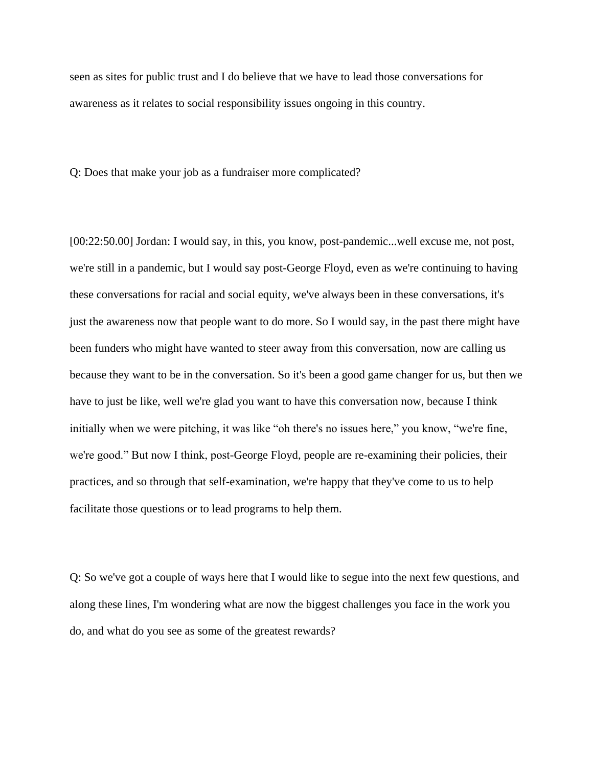seen as sites for public trust and I do believe that we have to lead those conversations for awareness as it relates to social responsibility issues ongoing in this country.

Q: Does that make your job as a fundraiser more complicated?

[00:22:50.00] Jordan: I would say, in this, you know, post-pandemic...well excuse me, not post, we're still in a pandemic, but I would say post-George Floyd, even as we're continuing to having these conversations for racial and social equity, we've always been in these conversations, it's just the awareness now that people want to do more. So I would say, in the past there might have been funders who might have wanted to steer away from this conversation, now are calling us because they want to be in the conversation. So it's been a good game changer for us, but then we have to just be like, well we're glad you want to have this conversation now, because I think initially when we were pitching, it was like "oh there's no issues here," you know, "we're fine, we're good." But now I think, post-George Floyd, people are re-examining their policies, their practices, and so through that self-examination, we're happy that they've come to us to help facilitate those questions or to lead programs to help them.

Q: So we've got a couple of ways here that I would like to segue into the next few questions, and along these lines, I'm wondering what are now the biggest challenges you face in the work you do, and what do you see as some of the greatest rewards?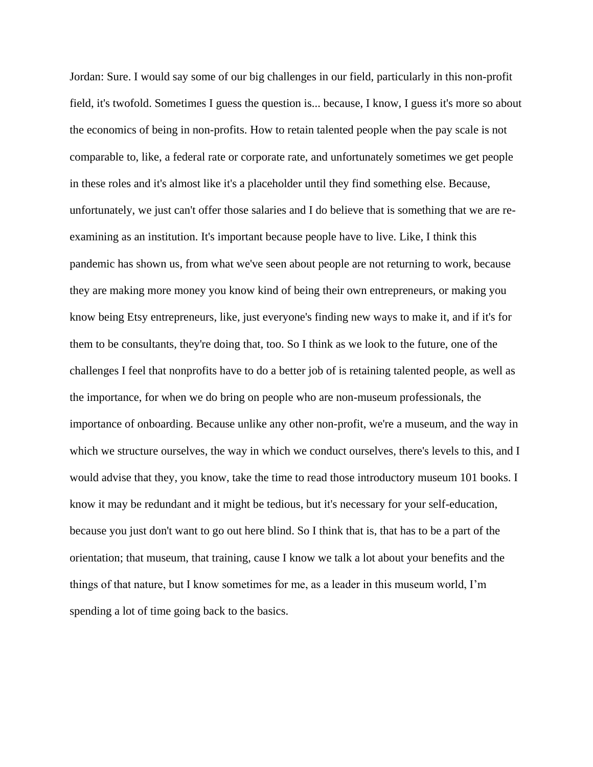Jordan: Sure. I would say some of our big challenges in our field, particularly in this non-profit field, it's twofold. Sometimes I guess the question is... because, I know, I guess it's more so about the economics of being in non-profits. How to retain talented people when the pay scale is not comparable to, like, a federal rate or corporate rate, and unfortunately sometimes we get people in these roles and it's almost like it's a placeholder until they find something else. Because, unfortunately, we just can't offer those salaries and I do believe that is something that we are reexamining as an institution. It's important because people have to live. Like, I think this pandemic has shown us, from what we've seen about people are not returning to work, because they are making more money you know kind of being their own entrepreneurs, or making you know being Etsy entrepreneurs, like, just everyone's finding new ways to make it, and if it's for them to be consultants, they're doing that, too. So I think as we look to the future, one of the challenges I feel that nonprofits have to do a better job of is retaining talented people, as well as the importance, for when we do bring on people who are non-museum professionals, the importance of onboarding. Because unlike any other non-profit, we're a museum, and the way in which we structure ourselves, the way in which we conduct ourselves, there's levels to this, and I would advise that they, you know, take the time to read those introductory museum 101 books. I know it may be redundant and it might be tedious, but it's necessary for your self-education, because you just don't want to go out here blind. So I think that is, that has to be a part of the orientation; that museum, that training, cause I know we talk a lot about your benefits and the things of that nature, but I know sometimes for me, as a leader in this museum world, I'm spending a lot of time going back to the basics.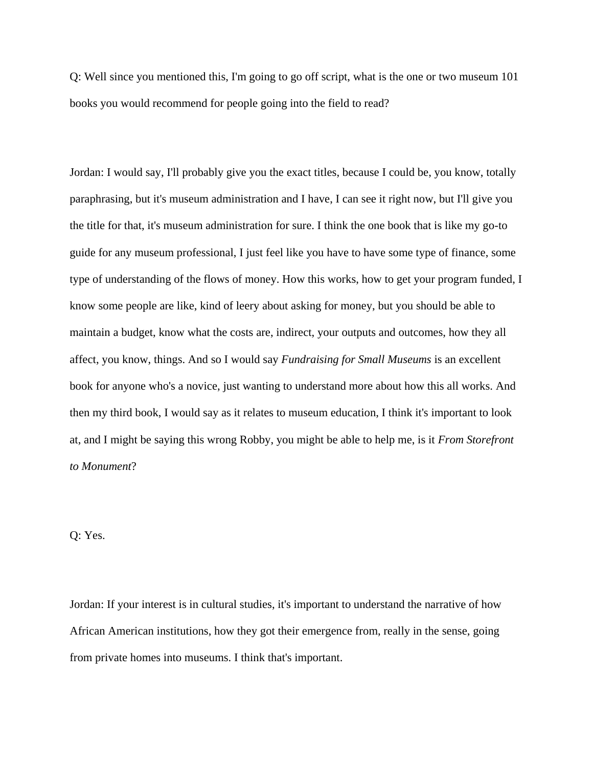Q: Well since you mentioned this, I'm going to go off script, what is the one or two museum 101 books you would recommend for people going into the field to read?

Jordan: I would say, I'll probably give you the exact titles, because I could be, you know, totally paraphrasing, but it's museum administration and I have, I can see it right now, but I'll give you the title for that, it's museum administration for sure. I think the one book that is like my go-to guide for any museum professional, I just feel like you have to have some type of finance, some type of understanding of the flows of money. How this works, how to get your program funded, I know some people are like, kind of leery about asking for money, but you should be able to maintain a budget, know what the costs are, indirect, your outputs and outcomes, how they all affect, you know, things. And so I would say *Fundraising for Small Museums* is an excellent book for anyone who's a novice, just wanting to understand more about how this all works. And then my third book, I would say as it relates to museum education, I think it's important to look at, and I might be saying this wrong Robby, you might be able to help me, is it *From Storefront to Monument*?

## Q: Yes.

Jordan: If your interest is in cultural studies, it's important to understand the narrative of how African American institutions, how they got their emergence from, really in the sense, going from private homes into museums. I think that's important.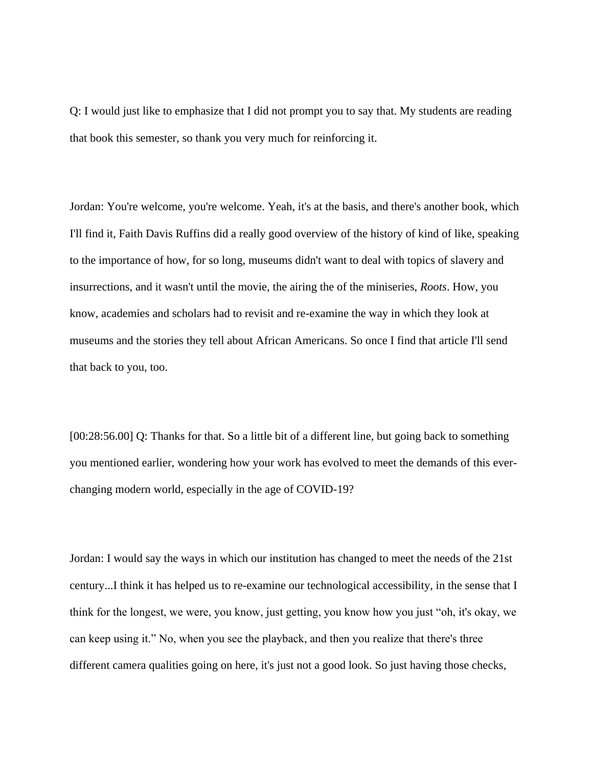Q: I would just like to emphasize that I did not prompt you to say that. My students are reading that book this semester, so thank you very much for reinforcing it.

Jordan: You're welcome, you're welcome. Yeah, it's at the basis, and there's another book, which I'll find it, Faith Davis Ruffins did a really good overview of the history of kind of like, speaking to the importance of how, for so long, museums didn't want to deal with topics of slavery and insurrections, and it wasn't until the movie, the airing the of the miniseries, *Roots*. How, you know, academies and scholars had to revisit and re-examine the way in which they look at museums and the stories they tell about African Americans. So once I find that article I'll send that back to you, too.

[00:28:56.00] Q: Thanks for that. So a little bit of a different line, but going back to something you mentioned earlier, wondering how your work has evolved to meet the demands of this everchanging modern world, especially in the age of COVID-19?

Jordan: I would say the ways in which our institution has changed to meet the needs of the 21st century...I think it has helped us to re-examine our technological accessibility, in the sense that I think for the longest, we were, you know, just getting, you know how you just "oh, it's okay, we can keep using it." No, when you see the playback, and then you realize that there's three different camera qualities going on here, it's just not a good look. So just having those checks,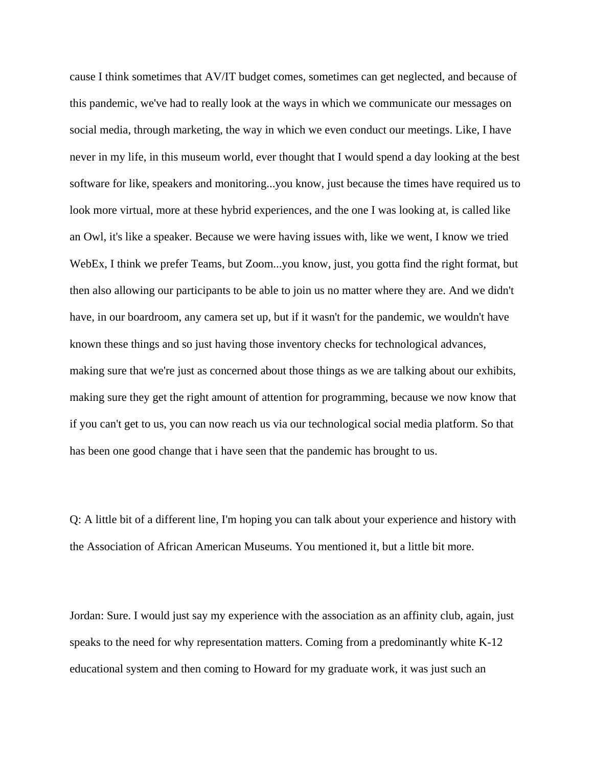cause I think sometimes that AV/IT budget comes, sometimes can get neglected, and because of this pandemic, we've had to really look at the ways in which we communicate our messages on social media, through marketing, the way in which we even conduct our meetings. Like, I have never in my life, in this museum world, ever thought that I would spend a day looking at the best software for like, speakers and monitoring...you know, just because the times have required us to look more virtual, more at these hybrid experiences, and the one I was looking at, is called like an Owl, it's like a speaker. Because we were having issues with, like we went, I know we tried WebEx, I think we prefer Teams, but Zoom...you know, just, you gotta find the right format, but then also allowing our participants to be able to join us no matter where they are. And we didn't have, in our boardroom, any camera set up, but if it wasn't for the pandemic, we wouldn't have known these things and so just having those inventory checks for technological advances, making sure that we're just as concerned about those things as we are talking about our exhibits, making sure they get the right amount of attention for programming, because we now know that if you can't get to us, you can now reach us via our technological social media platform. So that has been one good change that i have seen that the pandemic has brought to us.

Q: A little bit of a different line, I'm hoping you can talk about your experience and history with the Association of African American Museums. You mentioned it, but a little bit more.

Jordan: Sure. I would just say my experience with the association as an affinity club, again, just speaks to the need for why representation matters. Coming from a predominantly white K-12 educational system and then coming to Howard for my graduate work, it was just such an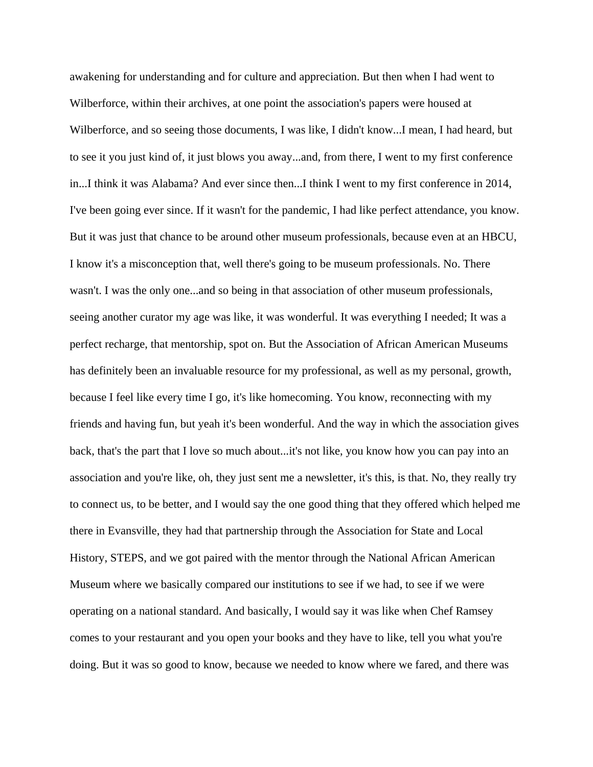awakening for understanding and for culture and appreciation. But then when I had went to Wilberforce, within their archives, at one point the association's papers were housed at Wilberforce, and so seeing those documents, I was like, I didn't know...I mean, I had heard, but to see it you just kind of, it just blows you away...and, from there, I went to my first conference in...I think it was Alabama? And ever since then...I think I went to my first conference in 2014, I've been going ever since. If it wasn't for the pandemic, I had like perfect attendance, you know. But it was just that chance to be around other museum professionals, because even at an HBCU, I know it's a misconception that, well there's going to be museum professionals. No. There wasn't. I was the only one...and so being in that association of other museum professionals, seeing another curator my age was like, it was wonderful. It was everything I needed; It was a perfect recharge, that mentorship, spot on. But the Association of African American Museums has definitely been an invaluable resource for my professional, as well as my personal, growth, because I feel like every time I go, it's like homecoming. You know, reconnecting with my friends and having fun, but yeah it's been wonderful. And the way in which the association gives back, that's the part that I love so much about...it's not like, you know how you can pay into an association and you're like, oh, they just sent me a newsletter, it's this, is that. No, they really try to connect us, to be better, and I would say the one good thing that they offered which helped me there in Evansville, they had that partnership through the Association for State and Local History, STEPS, and we got paired with the mentor through the National African American Museum where we basically compared our institutions to see if we had, to see if we were operating on a national standard. And basically, I would say it was like when Chef Ramsey comes to your restaurant and you open your books and they have to like, tell you what you're doing. But it was so good to know, because we needed to know where we fared, and there was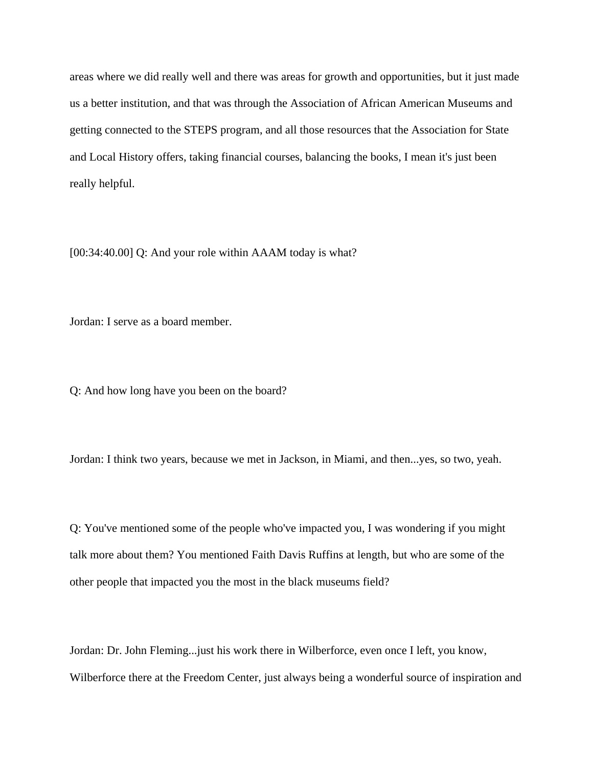areas where we did really well and there was areas for growth and opportunities, but it just made us a better institution, and that was through the Association of African American Museums and getting connected to the STEPS program, and all those resources that the Association for State and Local History offers, taking financial courses, balancing the books, I mean it's just been really helpful.

[00:34:40.00] Q: And your role within AAAM today is what?

Jordan: I serve as a board member.

Q: And how long have you been on the board?

Jordan: I think two years, because we met in Jackson, in Miami, and then...yes, so two, yeah.

Q: You've mentioned some of the people who've impacted you, I was wondering if you might talk more about them? You mentioned Faith Davis Ruffins at length, but who are some of the other people that impacted you the most in the black museums field?

Jordan: Dr. John Fleming...just his work there in Wilberforce, even once I left, you know, Wilberforce there at the Freedom Center, just always being a wonderful source of inspiration and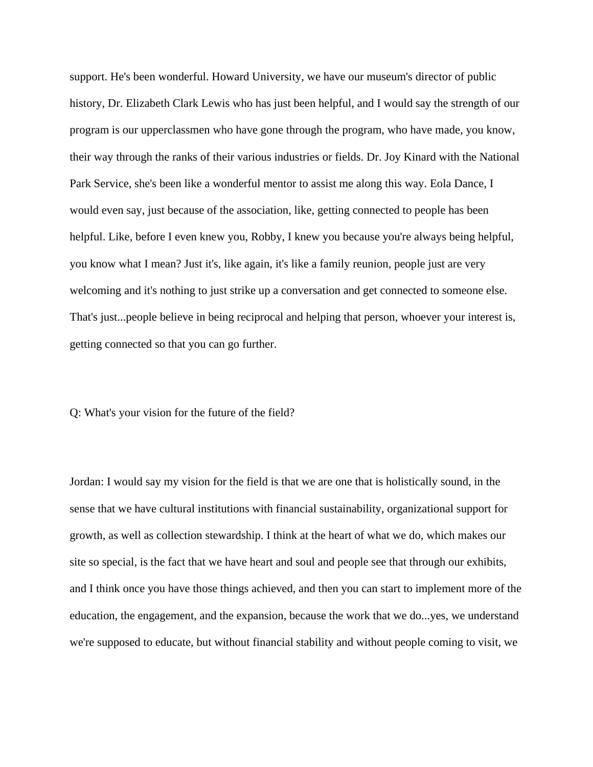support. He's been wonderful. Howard University, we have our museum's director of public history, Dr. Elizabeth Clark Lewis who has just been helpful, and I would say the strength of our program is our upperclassmen who have gone through the program, who have made, you know, their way through the ranks of their various industries or fields. Dr. Joy Kinard with the National Park Service, she's been like a wonderful mentor to assist me along this way. Eola Dance, I would even say, just because of the association, like, getting connected to people has been helpful. Like, before I even knew you, Robby, I knew you because you're always being helpful, you know what I mean? Just it's, like again, it's like a family reunion, people just are very welcoming and it's nothing to just strike up a conversation and get connected to someone else. That's just...people believe in being reciprocal and helping that person, whoever your interest is, getting connected so that you can go further.

Q: What's your vision for the future of the field?

Jordan: I would say my vision for the field is that we are one that is holistically sound, in the sense that we have cultural institutions with financial sustainability, organizational support for growth, as well as collection stewardship. I think at the heart of what we do, which makes our site so special, is the fact that we have heart and soul and people see that through our exhibits, and I think once you have those things achieved, and then you can start to implement more of the education, the engagement, and the expansion, because the work that we do...yes, we understand we're supposed to educate, but without financial stability and without people coming to visit, we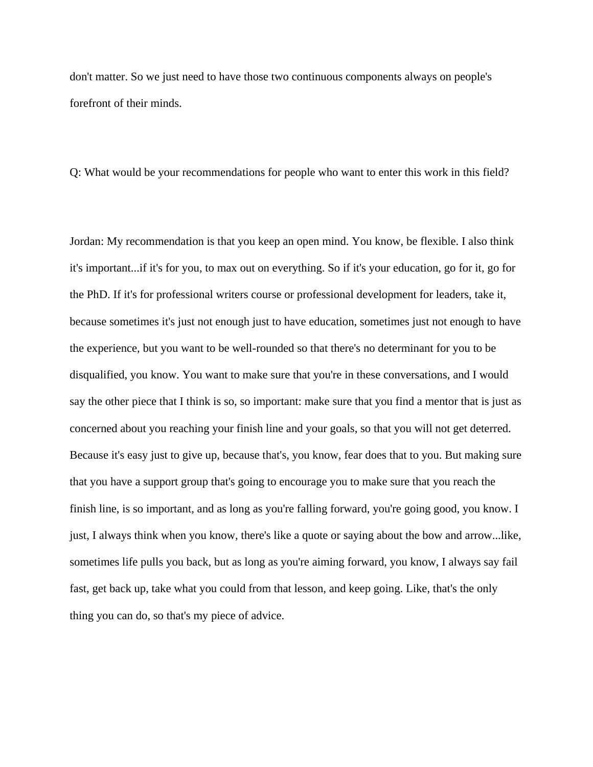don't matter. So we just need to have those two continuous components always on people's forefront of their minds.

Q: What would be your recommendations for people who want to enter this work in this field?

Jordan: My recommendation is that you keep an open mind. You know, be flexible. I also think it's important...if it's for you, to max out on everything. So if it's your education, go for it, go for the PhD. If it's for professional writers course or professional development for leaders, take it, because sometimes it's just not enough just to have education, sometimes just not enough to have the experience, but you want to be well-rounded so that there's no determinant for you to be disqualified, you know. You want to make sure that you're in these conversations, and I would say the other piece that I think is so, so important: make sure that you find a mentor that is just as concerned about you reaching your finish line and your goals, so that you will not get deterred. Because it's easy just to give up, because that's, you know, fear does that to you. But making sure that you have a support group that's going to encourage you to make sure that you reach the finish line, is so important, and as long as you're falling forward, you're going good, you know. I just, I always think when you know, there's like a quote or saying about the bow and arrow...like, sometimes life pulls you back, but as long as you're aiming forward, you know, I always say fail fast, get back up, take what you could from that lesson, and keep going. Like, that's the only thing you can do, so that's my piece of advice.